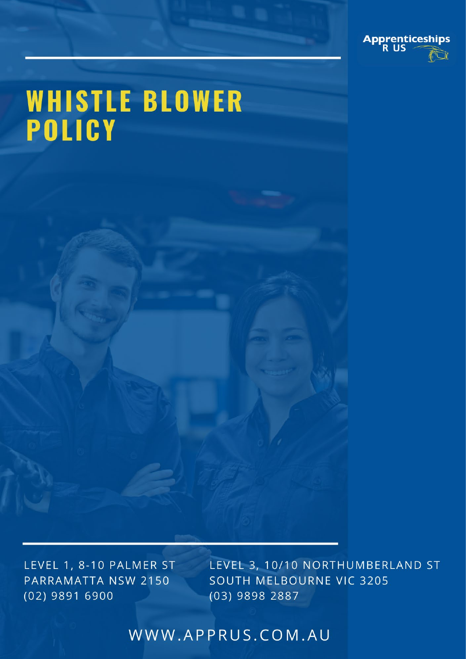

# **WHISTLE BLOWER POLICY**

LEVEL 1, 8-10 PALMER ST PARRAMATTA NSW 2150  $(02)$  9891 6900

LEVEL 3, 10/10 NORTHUMBERLAND ST SOUTH MELBOURNE VIC 3205 (03) 9898 2887

WWW.APPRUS.COM.AU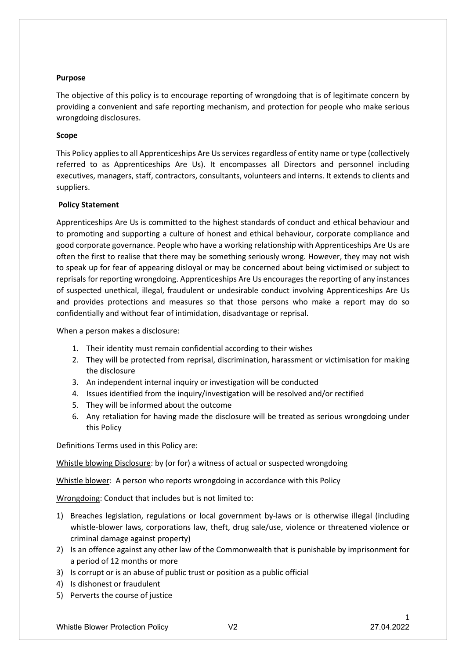#### **Purpose**

The objective of this policy is to encourage reporting of wrongdoing that is of legitimate concern by providing a convenient and safe reporting mechanism, and protection for people who make serious wrongdoing disclosures.

#### **Scope**

This Policy applies to all Apprenticeships Are Us services regardless of entity name or type (collectively referred to as Apprenticeships Are Us). It encompasses all Directors and personnel including executives, managers, staff, contractors, consultants, volunteers and interns. It extends to clients and suppliers.

#### **Policy Statement**

Apprenticeships Are Us is committed to the highest standards of conduct and ethical behaviour and to promoting and supporting a culture of honest and ethical behaviour, corporate compliance and good corporate governance. People who have a working relationship with Apprenticeships Are Us are often the first to realise that there may be something seriously wrong. However, they may not wish to speak up for fear of appearing disloyal or may be concerned about being victimised or subject to reprisals for reporting wrongdoing. Apprenticeships Are Us encourages the reporting of any instances of suspected unethical, illegal, fraudulent or undesirable conduct involving Apprenticeships Are Us and provides protections and measures so that those persons who make a report may do so confidentially and without fear of intimidation, disadvantage or reprisal.

When a person makes a disclosure:

- 1. Their identity must remain confidential according to their wishes
- 2. They will be protected from reprisal, discrimination, harassment or victimisation for making the disclosure
- 3. An independent internal inquiry or investigation will be conducted
- 4. Issues identified from the inquiry/investigation will be resolved and/or rectified
- 5. They will be informed about the outcome
- 6. Any retaliation for having made the disclosure will be treated as serious wrongdoing under this Policy

Definitions Terms used in this Policy are:

Whistle blowing Disclosure: by (or for) a witness of actual or suspected wrongdoing

Whistle blower: A person who reports wrongdoing in accordance with this Policy

Wrongdoing: Conduct that includes but is not limited to:

- 1) Breaches legislation, regulations or local government by-laws or is otherwise illegal (including whistle-blower laws, corporations law, theft, drug sale/use, violence or threatened violence or criminal damage against property)
- 2) Is an offence against any other law of the Commonwealth that is punishable by imprisonment for a period of 12 months or more
- 3) Is corrupt or is an abuse of public trust or position as a public official
- 4) Is dishonest or fraudulent
- 5) Perverts the course of justice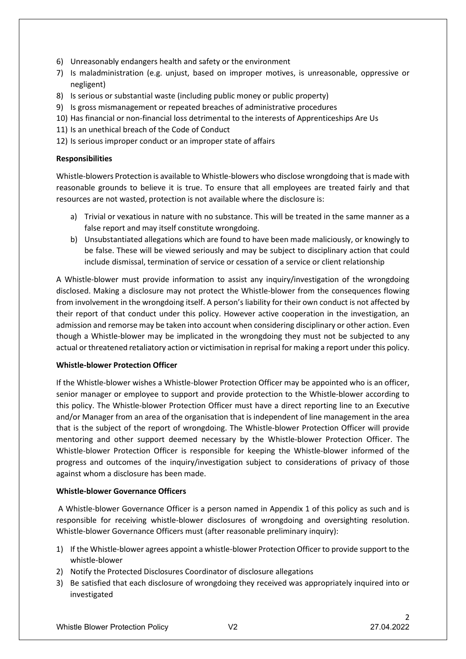- 6) Unreasonably endangers health and safety or the environment
- 7) Is maladministration (e.g. unjust, based on improper motives, is unreasonable, oppressive or negligent)
- 8) Is serious or substantial waste (including public money or public property)
- 9) Is gross mismanagement or repeated breaches of administrative procedures
- 10) Has financial or non-financial loss detrimental to the interests of Apprenticeships Are Us
- 11) Is an unethical breach of the Code of Conduct
- 12) Is serious improper conduct or an improper state of affairs

#### **Responsibilities**

Whistle-blowers Protection is available to Whistle-blowers who disclose wrongdoing that is made with reasonable grounds to believe it is true. To ensure that all employees are treated fairly and that resources are not wasted, protection is not available where the disclosure is:

- a) Trivial or vexatious in nature with no substance. This will be treated in the same manner as a false report and may itself constitute wrongdoing.
- b) Unsubstantiated allegations which are found to have been made maliciously, or knowingly to be false. These will be viewed seriously and may be subject to disciplinary action that could include dismissal, termination of service or cessation of a service or client relationship

A Whistle-blower must provide information to assist any inquiry/investigation of the wrongdoing disclosed. Making a disclosure may not protect the Whistle-blower from the consequences flowing from involvement in the wrongdoing itself. A person's liability for their own conduct is not affected by their report of that conduct under this policy. However active cooperation in the investigation, an admission and remorse may be taken into account when considering disciplinary or other action. Even though a Whistle-blower may be implicated in the wrongdoing they must not be subjected to any actual or threatened retaliatory action or victimisation in reprisal for making a report under this policy.

#### **Whistle-blower Protection Officer**

If the Whistle-blower wishes a Whistle-blower Protection Officer may be appointed who is an officer, senior manager or employee to support and provide protection to the Whistle-blower according to this policy. The Whistle-blower Protection Officer must have a direct reporting line to an Executive and/or Manager from an area of the organisation that is independent of line management in the area that is the subject of the report of wrongdoing. The Whistle-blower Protection Officer will provide mentoring and other support deemed necessary by the Whistle-blower Protection Officer. The Whistle-blower Protection Officer is responsible for keeping the Whistle-blower informed of the progress and outcomes of the inquiry/investigation subject to considerations of privacy of those against whom a disclosure has been made.

#### **Whistle-blower Governance Officers**

A Whistle-blower Governance Officer is a person named in Appendix 1 of this policy as such and is responsible for receiving whistle-blower disclosures of wrongdoing and oversighting resolution. Whistle-blower Governance Officers must (after reasonable preliminary inquiry):

- 1) If the Whistle-blower agrees appoint a whistle-blower Protection Officer to provide support to the whistle-blower
- 2) Notify the Protected Disclosures Coordinator of disclosure allegations
- 3) Be satisfied that each disclosure of wrongdoing they received was appropriately inquired into or investigated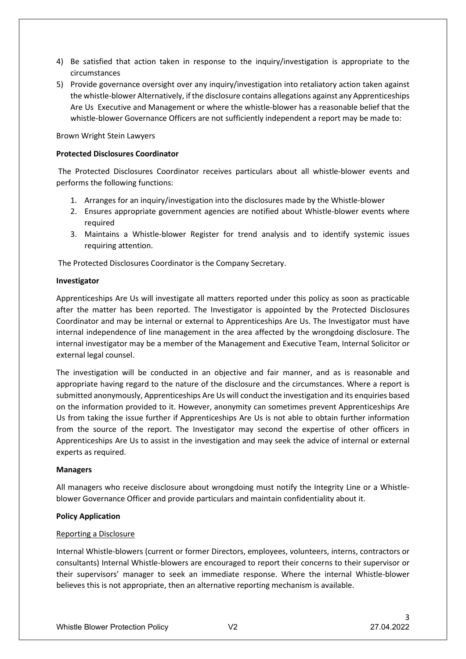- 4) Be satisfied that action taken in response to the inquiry/investigation is appropriate to the circumstances
- 5) Provide governance oversight over any inquiry/investigation into retaliatory action taken against the whistle-blower Alternatively, if the disclosure contains allegations against any Apprenticeships Are Us Executive and Management or where the whistle-blower has a reasonable belief that the whistle-blower Governance Officers are not sufficiently independent a report may be made to:

Brown Wright Stein Lawyers

#### **Protected Disclosures Coordinator**

The Protected Disclosures Coordinator receives particulars about all whistle-blower events and performs the following functions:

- 1. Arranges for an inquiry/investigation into the disclosures made by the Whistle-blower
- 2. Ensures appropriate government agencies are notified about Whistle-blower events where required
- 3. Maintains a Whistle-blower Register for trend analysis and to identify systemic issues requiring attention.

The Protected Disclosures Coordinator is the Company Secretary.

#### **Investigator**

Apprenticeships Are Us will investigate all matters reported under this policy as soon as practicable after the matter has been reported. The Investigator is appointed by the Protected Disclosures Coordinator and may be internal or external to Apprenticeships Are Us. The Investigator must have internal independence of line management in the area affected by the wrongdoing disclosure. The internal investigator may be a member of the Management and Executive Team, Internal Solicitor or external legal counsel.

The investigation will be conducted in an objective and fair manner, and as is reasonable and appropriate having regard to the nature of the disclosure and the circumstances. Where a report is submitted anonymously, Apprenticeships Are Us will conduct the investigation and its enquiries based on the information provided to it. However, anonymity can sometimes prevent Apprenticeships Are Us from taking the issue further if Apprenticeships Are Us is not able to obtain further information from the source of the report. The Investigator may second the expertise of other officers in Apprenticeships Are Us to assist in the investigation and may seek the advice of internal or external experts as required.

#### **Managers**

All managers who receive disclosure about wrongdoing must notify the Integrity Line or a Whistleblower Governance Officer and provide particulars and maintain confidentiality about it.

#### **Policy Application**

#### Reporting a Disclosure

Internal Whistle-blowers (current or former Directors, employees, volunteers, interns, contractors or consultants) Internal Whistle-blowers are encouraged to report their concerns to their supervisor or their supervisors' manager to seek an immediate response. Where the internal Whistle-blower believes this is not appropriate, then an alternative reporting mechanism is available.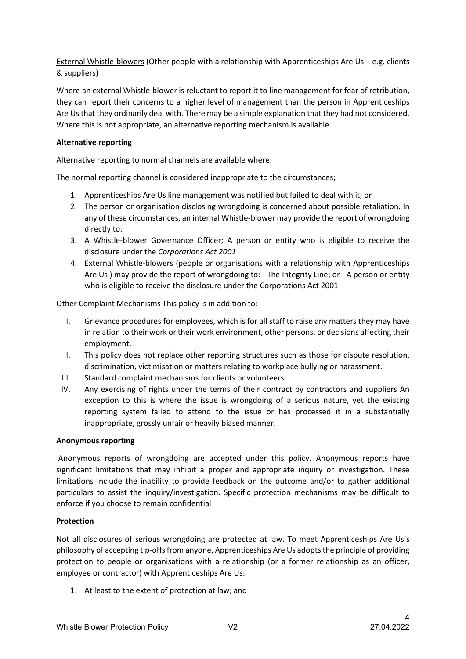External Whistle-blowers (Other people with a relationship with Apprenticeships Are Us – e.g. clients & suppliers)

Where an external Whistle-blower is reluctant to report it to line management for fear of retribution, they can report their concerns to a higher level of management than the person in Apprenticeships Are Us that they ordinarily deal with. There may be a simple explanation that they had not considered. Where this is not appropriate, an alternative reporting mechanism is available.

#### **Alternative reporting**

Alternative reporting to normal channels are available where:

The normal reporting channel is considered inappropriate to the circumstances;

- 1. Apprenticeships Are Us line management was notified but failed to deal with it; or
- 2. The person or organisation disclosing wrongdoing is concerned about possible retaliation. In any of these circumstances, an internal Whistle-blower may provide the report of wrongdoing directly to:
- 3. A Whistle-blower Governance Officer; A person or entity who is eligible to receive the disclosure under the *Corporations Act 2001*
- 4. External Whistle-blowers (people or organisations with a relationship with Apprenticeships Are Us ) may provide the report of wrongdoing to: - The Integrity Line; or - A person or entity who is eligible to receive the disclosure under the Corporations Act 2001

Other Complaint Mechanisms This policy is in addition to:

- I. Grievance procedures for employees, which is for all staff to raise any matters they may have in relation to their work or their work environment, other persons, or decisions affecting their employment.
- II. This policy does not replace other reporting structures such as those for dispute resolution, discrimination, victimisation or matters relating to workplace bullying or harassment.
- III. Standard complaint mechanisms for clients or volunteers
- IV. Any exercising of rights under the terms of their contract by contractors and suppliers An exception to this is where the issue is wrongdoing of a serious nature, yet the existing reporting system failed to attend to the issue or has processed it in a substantially inappropriate, grossly unfair or heavily biased manner.

#### **Anonymous reporting**

Anonymous reports of wrongdoing are accepted under this policy. Anonymous reports have significant limitations that may inhibit a proper and appropriate inquiry or investigation. These limitations include the inability to provide feedback on the outcome and/or to gather additional particulars to assist the inquiry/investigation. Specific protection mechanisms may be difficult to enforce if you choose to remain confidential

# **Protection**

Not all disclosures of serious wrongdoing are protected at law. To meet Apprenticeships Are Us's philosophy of accepting tip-offs from anyone, Apprenticeships Are Us adoptsthe principle of providing protection to people or organisations with a relationship (or a former relationship as an officer, employee or contractor) with Apprenticeships Are Us:

1. At least to the extent of protection at law; and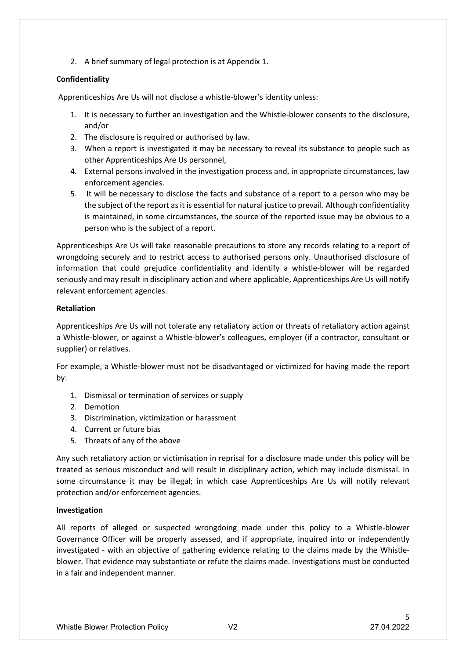2. A brief summary of legal protection is at Appendix 1.

#### **Confidentiality**

Apprenticeships Are Us will not disclose a whistle-blower's identity unless:

- 1. It is necessary to further an investigation and the Whistle-blower consents to the disclosure, and/or
- 2. The disclosure is required or authorised by law.
- 3. When a report is investigated it may be necessary to reveal its substance to people such as other Apprenticeships Are Us personnel,
- 4. External persons involved in the investigation process and, in appropriate circumstances, law enforcement agencies.
- 5. It will be necessary to disclose the facts and substance of a report to a person who may be the subject of the report as it is essential for natural justice to prevail. Although confidentiality is maintained, in some circumstances, the source of the reported issue may be obvious to a person who is the subject of a report.

Apprenticeships Are Us will take reasonable precautions to store any records relating to a report of wrongdoing securely and to restrict access to authorised persons only. Unauthorised disclosure of information that could prejudice confidentiality and identify a whistle-blower will be regarded seriously and may result in disciplinary action and where applicable, Apprenticeships Are Us will notify relevant enforcement agencies.

# **Retaliation**

Apprenticeships Are Us will not tolerate any retaliatory action or threats of retaliatory action against a Whistle-blower, or against a Whistle-blower's colleagues, employer (if a contractor, consultant or supplier) or relatives.

For example, a Whistle-blower must not be disadvantaged or victimized for having made the report by:

- 1. Dismissal or termination of services or supply
- 2. Demotion
- 3. Discrimination, victimization or harassment
- 4. Current or future bias
- 5. Threats of any of the above

Any such retaliatory action or victimisation in reprisal for a disclosure made under this policy will be treated as serious misconduct and will result in disciplinary action, which may include dismissal. In some circumstance it may be illegal; in which case Apprenticeships Are Us will notify relevant protection and/or enforcement agencies.

# **Investigation**

All reports of alleged or suspected wrongdoing made under this policy to a Whistle-blower Governance Officer will be properly assessed, and if appropriate, inquired into or independently investigated - with an objective of gathering evidence relating to the claims made by the Whistleblower. That evidence may substantiate or refute the claims made. Investigations must be conducted in a fair and independent manner.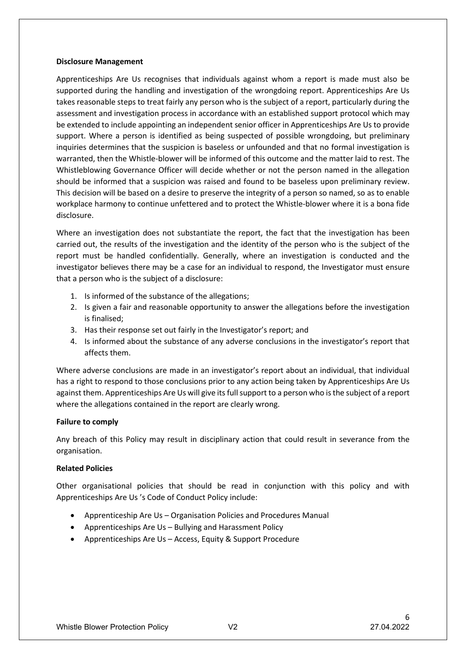#### **Disclosure Management**

Apprenticeships Are Us recognises that individuals against whom a report is made must also be supported during the handling and investigation of the wrongdoing report. Apprenticeships Are Us takes reasonable steps to treat fairly any person who is the subject of a report, particularly during the assessment and investigation process in accordance with an established support protocol which may be extended to include appointing an independent senior officer in Apprenticeships Are Us to provide support. Where a person is identified as being suspected of possible wrongdoing, but preliminary inquiries determines that the suspicion is baseless or unfounded and that no formal investigation is warranted, then the Whistle-blower will be informed of this outcome and the matter laid to rest. The Whistleblowing Governance Officer will decide whether or not the person named in the allegation should be informed that a suspicion was raised and found to be baseless upon preliminary review. This decision will be based on a desire to preserve the integrity of a person so named, so as to enable workplace harmony to continue unfettered and to protect the Whistle-blower where it is a bona fide disclosure.

Where an investigation does not substantiate the report, the fact that the investigation has been carried out, the results of the investigation and the identity of the person who is the subject of the report must be handled confidentially. Generally, where an investigation is conducted and the investigator believes there may be a case for an individual to respond, the Investigator must ensure that a person who is the subject of a disclosure:

- 1. Is informed of the substance of the allegations;
- 2. Is given a fair and reasonable opportunity to answer the allegations before the investigation is finalised;
- 3. Has their response set out fairly in the Investigator's report; and
- 4. Is informed about the substance of any adverse conclusions in the investigator's report that affects them.

Where adverse conclusions are made in an investigator's report about an individual, that individual has a right to respond to those conclusions prior to any action being taken by Apprenticeships Are Us against them. Apprenticeships Are Us will give its full support to a person who is the subject of a report where the allegations contained in the report are clearly wrong.

#### **Failure to comply**

Any breach of this Policy may result in disciplinary action that could result in severance from the organisation.

#### **Related Policies**

Other organisational policies that should be read in conjunction with this policy and with Apprenticeships Are Us 's Code of Conduct Policy include:

- Apprenticeship Are Us Organisation Policies and Procedures Manual
- Apprenticeships Are Us Bullying and Harassment Policy
- Apprenticeships Are Us Access, Equity & Support Procedure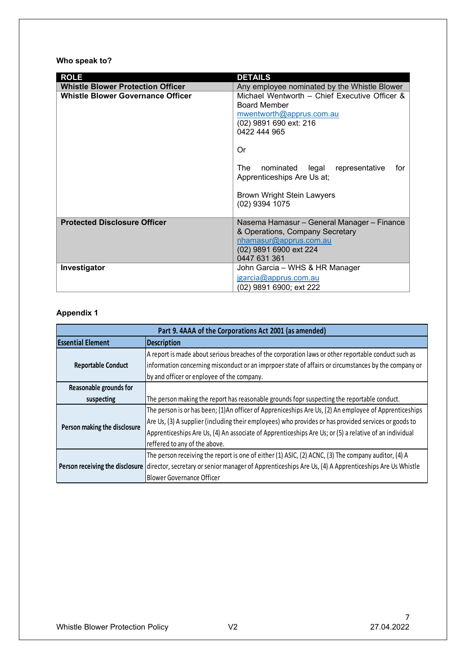# **Who speak to?**

| <b>ROLE</b>                              | <b>DETAILS</b>                                                                                                                                                                                                                                                                        |
|------------------------------------------|---------------------------------------------------------------------------------------------------------------------------------------------------------------------------------------------------------------------------------------------------------------------------------------|
| <b>Whistle Blower Protection Officer</b> | Any employee nominated by the Whistle Blower                                                                                                                                                                                                                                          |
| <b>Whistle Blower Governance Officer</b> | Michael Wentworth - Chief Executive Officer &<br><b>Board Member</b><br>mwentworth@apprus.com.au<br>(02) 9891 690 ext: 216<br>0422 444 965<br>Or<br>nominated legal representative<br>The<br>for<br>Apprenticeships Are Us at;<br><b>Brown Wright Stein Lawyers</b><br>(02) 9394 1075 |
| <b>Protected Disclosure Officer</b>      | Nasema Hamasur - General Manager - Finance<br>& Operations, Company Secretary<br>nhamasur@apprus.com.au<br>(02) 9891 6900 ext 224<br>0447 631 361                                                                                                                                     |
| Investigator                             | John Garcia - WHS & HR Manager<br>jgarcia@apprus.com.au<br>(02) 9891 6900; ext 222                                                                                                                                                                                                    |

# **Appendix 1**

| Part 9. 4AAA of the Corporations Act 2001 (as amended) |                                                                                                                                                                                                             |  |  |  |
|--------------------------------------------------------|-------------------------------------------------------------------------------------------------------------------------------------------------------------------------------------------------------------|--|--|--|
| <b>Essential Element</b>                               | <b>Description</b>                                                                                                                                                                                          |  |  |  |
| <b>Reportable Conduct</b>                              | A report is made about serious breaches of the corporation laws or other reportable conduct such as<br>information concerning misconduct or an imprpoer state of affairs or circumstances by the company or |  |  |  |
|                                                        | by and officer or enployee of the company.                                                                                                                                                                  |  |  |  |
| Reasonable grounds for                                 |                                                                                                                                                                                                             |  |  |  |
| suspecting                                             | The person making the report has reasonable grounds fopr suspecting the reportable conduct.                                                                                                                 |  |  |  |
| Person making the disclosure                           | The person is or has been; (1)An officer of Appreniceships Are Us, (2) An employee of Apprenticeships                                                                                                       |  |  |  |
|                                                        | Are Us, (3) A supplier (including their employees) who provides or has provided services or goods to                                                                                                        |  |  |  |
|                                                        | Apprenticeships Are Us, (4) An associate of Apprenticeships Are Us; or (5) a relative of an individual                                                                                                      |  |  |  |
|                                                        | reffered to any of the above.                                                                                                                                                                               |  |  |  |
|                                                        | The person receiving the report is one of either (1) ASIC, (2) ACNC, (3) The company auditor, (4) A                                                                                                         |  |  |  |
|                                                        | Person receiving the disclosure director, secretary or senior manager of Apprenticeships Are Us, (4) A Apprenticeships Are Us Whistle                                                                       |  |  |  |
|                                                        | <b>Blower Governance Officer</b>                                                                                                                                                                            |  |  |  |